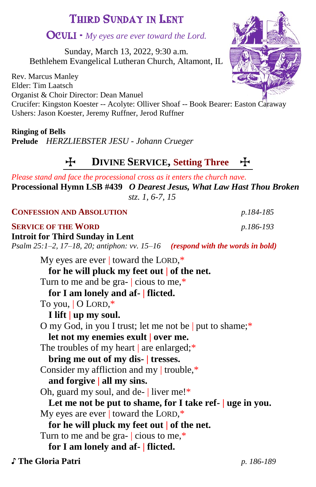# THIRD SUNDAY IN LENT

# OCULI - *My eyes are ever toward the Lord.*

Sunday, March 13, 2022, 9:30 a.m. Bethlehem Evangelical Lutheran Church, Altamont, IL

Rev. Marcus Manley Elder: Tim Laatsch Organist & Choir Director: Dean Manuel Crucifer: Kingston Koester -- Acolyte: Olliver Shoaf -- Book Bearer: Easton Caraway Ushers: Jason Koester, Jeremy Ruffner, Jerod Ruffner

**Ringing of Bells Prelude** *HERZLIEBSTER JESU - Johann Crueger*

# T **DIVINE SERVICE, Setting Three** T

*Please stand and face the processional cross as it enters the church nave.* **Processional Hymn LSB #439** *O Dearest Jesus, What Law Hast Thou Broken stz. 1, 6-7, 15*

| <b>CONFESSION AND ABSOLUTION</b>                                                                                                    | p.184-185  |
|-------------------------------------------------------------------------------------------------------------------------------------|------------|
| <b>SERVICE OF THE WORD</b>                                                                                                          | p.186-193  |
| <b>Introit for Third Sunday in Lent</b><br>Psalm $25:1-2$ , $17-18$ , $20$ ; antiphon: vv. $15-16$ (respond with the words in bold) |            |
| My eyes are ever   toward the LORD, $*$                                                                                             |            |
| for he will pluck my feet out   of the net.                                                                                         |            |
| Turn to me and be gra- $\vert$ cious to me,*                                                                                        |            |
| for I am lonely and af-   flicted.                                                                                                  |            |
| To you,   O LORD,*                                                                                                                  |            |
| I lift   up my soul.                                                                                                                |            |
| O my God, in you I trust; let me not be   put to shame;*                                                                            |            |
| let not my enemies exult   over me.                                                                                                 |            |
| The troubles of my heart $\vert$ are enlarged;*                                                                                     |            |
| bring me out of my dis- tresses.                                                                                                    |            |
| Consider my affliction and my   trouble, $*$                                                                                        |            |
| and forgive $ $ all my sins.                                                                                                        |            |
| Oh, guard my soul, and de- $\vert$ liver me!*                                                                                       |            |
| Let me not be put to shame, for I take ref-   uge in you.                                                                           |            |
| My eyes are ever   toward the LORD, $*$                                                                                             |            |
| for he will pluck my feet out   of the net.                                                                                         |            |
| Turn to me and be gra- $\vert$ cious to me,*                                                                                        |            |
| for I am lonely and af-   flicted.                                                                                                  |            |
| ♪ The Gloria Patri                                                                                                                  | p. 186-189 |

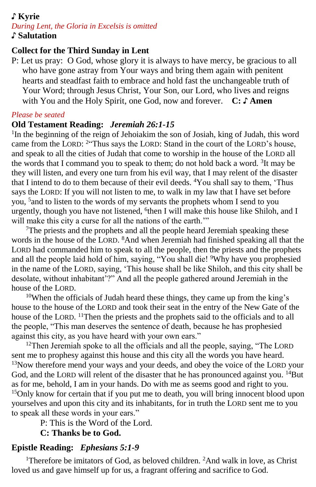# ♪ **Kyrie**

*During Lent, the Gloria in Excelsis is omitted* ♪ **Salutation**

## **Collect for the Third Sunday in Lent**

P: Let us pray: O God, whose glory it is always to have mercy, be gracious to all who have gone astray from Your ways and bring them again with penitent hearts and steadfast faith to embrace and hold fast the unchangeable truth of Your Word; through Jesus Christ, Your Son, our Lord, who lives and reigns with You and the Holy Spirit, one God, now and forever. **C: ♪ Amen**

#### *Please be seated*

## **Old Testament Reading:** *Jeremiah 26:1-15*

<sup>1</sup>In the beginning of the reign of Jehoiakim the son of Josiah, king of Judah, this word came from the LORD: <sup>2</sup>"Thus says the LORD: Stand in the court of the LORD's house, and speak to all the cities of Judah that come to worship in the house of the LORD all the words that I command you to speak to them; do not hold back a word. <sup>3</sup>It may be they will listen, and every one turn from his evil way, that I may relent of the disaster that I intend to do to them because of their evil deeds. <sup>4</sup>You shall say to them, 'Thus says the LORD: If you will not listen to me, to walk in my law that I have set before you, <sup>5</sup>and to listen to the words of my servants the prophets whom I send to you urgently, though you have not listened, <sup>6</sup>then I will make this house like Shiloh, and I will make this city a curse for all the nations of the earth."

<sup>7</sup>The priests and the prophets and all the people heard Jeremiah speaking these words in the house of the LORD. <sup>8</sup>And when Jeremiah had finished speaking all that the LORD had commanded him to speak to all the people, then the priests and the prophets and all the people laid hold of him, saying, "You shall die! <sup>9</sup>Why have you prophesied in the name of the LORD, saying, 'This house shall be like Shiloh, and this city shall be desolate, without inhabitant'?" And all the people gathered around Jeremiah in the house of the LORD.

<sup>10</sup>When the officials of Judah heard these things, they came up from the king's house to the house of the LORD and took their seat in the entry of the New Gate of the house of the LORD. <sup>11</sup>Then the priests and the prophets said to the officials and to all the people, "This man deserves the sentence of death, because he has prophesied against this city, as you have heard with your own ears."

<sup>12</sup>Then Jeremiah spoke to all the officials and all the people, saying, "The LORD" sent me to prophesy against this house and this city all the words you have heard. <sup>13</sup>Now therefore mend your ways and your deeds, and obey the voice of the LORD your God, and the LORD will relent of the disaster that he has pronounced against you. <sup>14</sup>But as for me, behold, I am in your hands. Do with me as seems good and right to you. <sup>15</sup>Only know for certain that if you put me to death, you will bring innocent blood upon yourselves and upon this city and its inhabitants, for in truth the LORD sent me to you to speak all these words in your ears."

P: This is the Word of the Lord.

# **C: Thanks be to God.**

# **Epistle Reading:** *Ephesians 5:1-9*

<sup>1</sup>Therefore be imitators of God, as beloved children.  ${}^{2}$ And walk in love, as Christ loved us and gave himself up for us, a fragrant offering and sacrifice to God.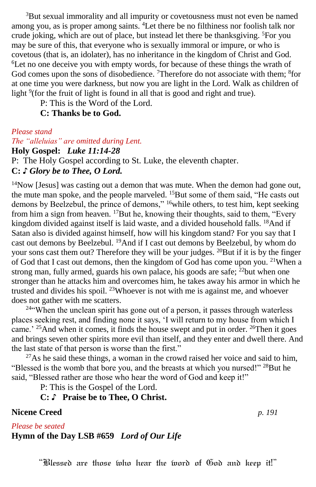<sup>3</sup>But sexual immorality and all impurity or covetousness must not even be named among you, as is proper among saints. <sup>4</sup>Let there be no filthiness nor foolish talk nor crude joking, which are out of place, but instead let there be thanksgiving. <sup>5</sup>For you may be sure of this, that everyone who is sexually immoral or impure, or who is covetous (that is, an idolater), has no inheritance in the kingdom of Christ and God. <sup>6</sup>Let no one deceive you with empty words, for because of these things the wrath of God comes upon the sons of disobedience. <sup>7</sup>Therefore do not associate with them; <sup>8</sup>for at one time you were darkness, but now you are light in the Lord. Walk as children of light <sup>9</sup>(for the fruit of light is found in all that is good and right and true).

P: This is the Word of the Lord.

**C: Thanks be to God.**

*Please stand*

*The "alleluias" are omitted during Lent.* **Holy Gospel:** *Luke 11:14-28* P: The Holy Gospel according to St. Luke, the eleventh chapter. **C:** *♪ Glory be to Thee, O Lord.*

 $14$ Now [Jesus] was casting out a demon that was mute. When the demon had gone out, the mute man spoke, and the people marveled. <sup>15</sup>But some of them said, "He casts out demons by Beelzebul, the prince of demons," <sup>16</sup>while others, to test him, kept seeking from him a sign from heaven. <sup>17</sup>But he, knowing their thoughts, said to them, "Every kingdom divided against itself is laid waste, and a divided household falls. <sup>18</sup>And if Satan also is divided against himself, how will his kingdom stand? For you say that I cast out demons by Beelzebul. <sup>19</sup>And if I cast out demons by Beelzebul, by whom do your sons cast them out? Therefore they will be your judges. <sup>20</sup>But if it is by the finger of God that I cast out demons, then the kingdom of God has come upon you. <sup>21</sup>When a strong man, fully armed, guards his own palace, his goods are safe;  $^{22}$ but when one stronger than he attacks him and overcomes him, he takes away his armor in which he trusted and divides his spoil. <sup>23</sup>Whoever is not with me is against me, and whoever does not gather with me scatters.

<sup>24</sup>"When the unclean spirit has gone out of a person, it passes through waterless places seeking rest, and finding none it says, 'I will return to my house from which I came.' <sup>25</sup>And when it comes, it finds the house swept and put in order. <sup>26</sup>Then it goes and brings seven other spirits more evil than itself, and they enter and dwell there. And the last state of that person is worse than the first."

 $27\text{As}$  he said these things, a woman in the crowd raised her voice and said to him, "Blessed is the womb that bore you, and the breasts at which you nursed!" <sup>28</sup>But he said, "Blessed rather are those who hear the word of God and keep it!"

P: This is the Gospel of the Lord.

**C:** ♪ **Praise be to Thee, O Christ.**

**Nicene Creed** *p. 191*

*Please be seated*

**Hymn of the Day LSB #659** *Lord of Our Life*

"Blessed are those who hear the word of God and keep it!"